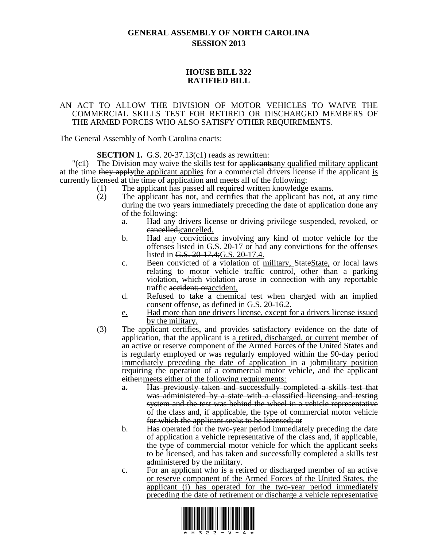## **GENERAL ASSEMBLY OF NORTH CAROLINA SESSION 2013**

## **HOUSE BILL 322 RATIFIED BILL**

## AN ACT TO ALLOW THE DIVISION OF MOTOR VEHICLES TO WAIVE THE COMMERCIAL SKILLS TEST FOR RETIRED OR DISCHARGED MEMBERS OF THE ARMED FORCES WHO ALSO SATISFY OTHER REQUIREMENTS.

The General Assembly of North Carolina enacts:

**SECTION 1.** G.S. 20-37.13(c1) reads as rewritten:

 $\Gamma$ (c1) The Division may waive the skills test for applicantsany qualified military applicant at the time they applythe applicant applies for a commercial drivers license if the applicant is currently licensed at the time of application and meets all of the following:

(1) The applicant has passed all required written knowledge exams.

- (2) The applicant has not, and certifies that the applicant has not, at any time during the two years immediately preceding the date of application done any of the following:
	- a. Had any drivers license or driving privilege suspended, revoked, or cancelled;cancelled.
	- b. Had any convictions involving any kind of motor vehicle for the offenses listed in G.S. 20-17 or had any convictions for the offenses listed in G.S. 20-17.4; G.S. 20-17.4.
	- c. Been convicted of a violation of military, StateState, or local laws relating to motor vehicle traffic control, other than a parking violation, which violation arose in connection with any reportable traffic accident; or accident.
	- d. Refused to take a chemical test when charged with an implied consent offense, as defined in G.S. 20-16.2.
	- e. Had more than one drivers license, except for a drivers license issued by the military.
- (3) The applicant certifies, and provides satisfactory evidence on the date of application, that the applicant is a retired, discharged, or current member of an active or reserve component of the Armed Forces of the United States and is regularly employed or was regularly employed within the 90-day period immediately preceding the date of application in a jobmilitary position requiring the operation of a commercial motor vehicle, and the applicant either: meets either of the following requirements:
	- a. Has previously taken and successfully completed a skills test that was administered by a state with a classified licensing and testing system and the test was behind the wheel in a vehicle representative of the class and, if applicable, the type of commercial motor vehicle for which the applicant seeks to be licensed; or
	- b. Has operated for the two-year period immediately preceding the date of application a vehicle representative of the class and, if applicable, the type of commercial motor vehicle for which the applicant seeks to be licensed, and has taken and successfully completed a skills test administered by the military.
	- c. For an applicant who is a retired or discharged member of an active or reserve component of the Armed Forces of the United States, the applicant (i) has operated for the two-year period immediately preceding the date of retirement or discharge a vehicle representative